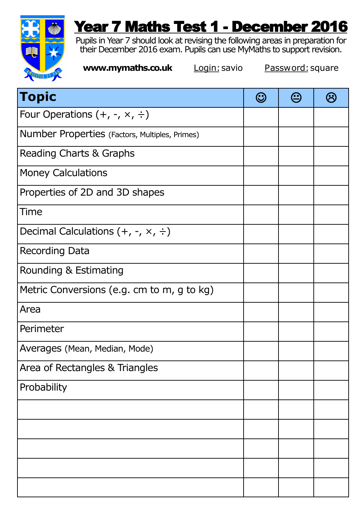

## Year 7 Maths Test 1 - December 2016

Pupils in Year 7 should look at revising the following areas in preparation for their December 2016 exam. Pupils can use MyMaths to support revision.

**www.mymaths.co.uk Login:** savio **Password:** square

| <b>Topic</b>                                   | (U) | $\bf \bf \odot$ |  |
|------------------------------------------------|-----|-----------------|--|
| Four Operations $(+, -, \times, \div)$         |     |                 |  |
| Number Properties (Factors, Multiples, Primes) |     |                 |  |
| Reading Charts & Graphs                        |     |                 |  |
| <b>Money Calculations</b>                      |     |                 |  |
| Properties of 2D and 3D shapes                 |     |                 |  |
| Time                                           |     |                 |  |
| Decimal Calculations $(+, -, \times, \div)$    |     |                 |  |
| Recording Data                                 |     |                 |  |
| Rounding & Estimating                          |     |                 |  |
| Metric Conversions (e.g. cm to m, g to kg)     |     |                 |  |
| Area                                           |     |                 |  |
| Perimeter                                      |     |                 |  |
| Averages (Mean, Median, Mode)                  |     |                 |  |
| Area of Rectangles & Triangles                 |     |                 |  |
| Probability                                    |     |                 |  |
|                                                |     |                 |  |
|                                                |     |                 |  |
|                                                |     |                 |  |
|                                                |     |                 |  |
|                                                |     |                 |  |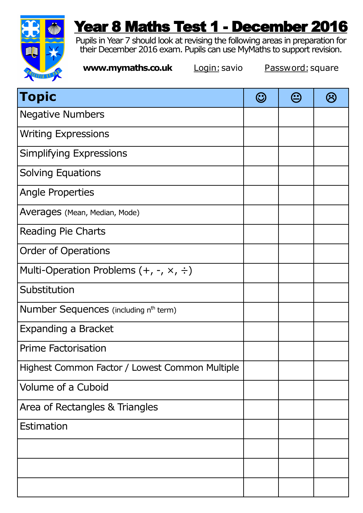

## Year 8 Maths Test 1 - December 2016

Pupils in Year 7 should look at revising the following areas in preparation for their December 2016 exam. Pupils can use MyMaths to support revision.

**www.mymaths.co.uk Login:** savio **Password:** square

| <b>Topic</b>                                      | $\bm{\odot}$ | $\bm \odot$ |  |
|---------------------------------------------------|--------------|-------------|--|
| <b>Negative Numbers</b>                           |              |             |  |
| <b>Writing Expressions</b>                        |              |             |  |
| Simplifying Expressions                           |              |             |  |
| <b>Solving Equations</b>                          |              |             |  |
| Angle Properties                                  |              |             |  |
| Averages (Mean, Median, Mode)                     |              |             |  |
| <b>Reading Pie Charts</b>                         |              |             |  |
| <b>Order of Operations</b>                        |              |             |  |
| Multi-Operation Problems $(+, -, \times, \div)$   |              |             |  |
| Substitution                                      |              |             |  |
| Number Sequences (including n <sup>th</sup> term) |              |             |  |
| Expanding a Bracket                               |              |             |  |
| <b>Prime Factorisation</b>                        |              |             |  |
| Highest Common Factor / Lowest Common Multiple    |              |             |  |
| Volume of a Cuboid                                |              |             |  |
| Area of Rectangles & Triangles                    |              |             |  |
| Estimation                                        |              |             |  |
|                                                   |              |             |  |
|                                                   |              |             |  |
|                                                   |              |             |  |